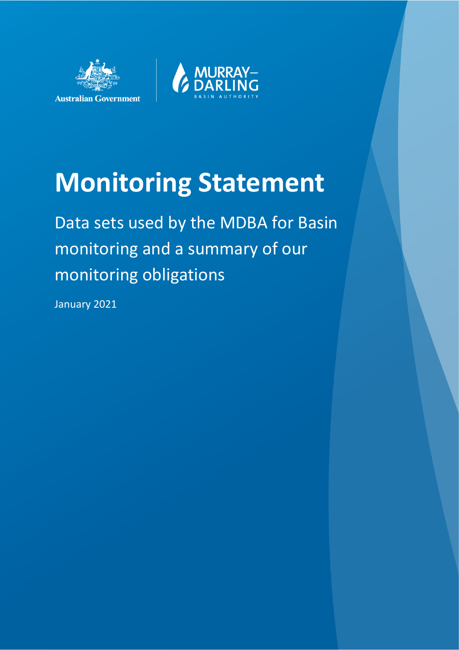



# **Monitoring Statement**

Data sets used by the MDBA for Basin monitoring and a summary of our monitoring obligations

January 2021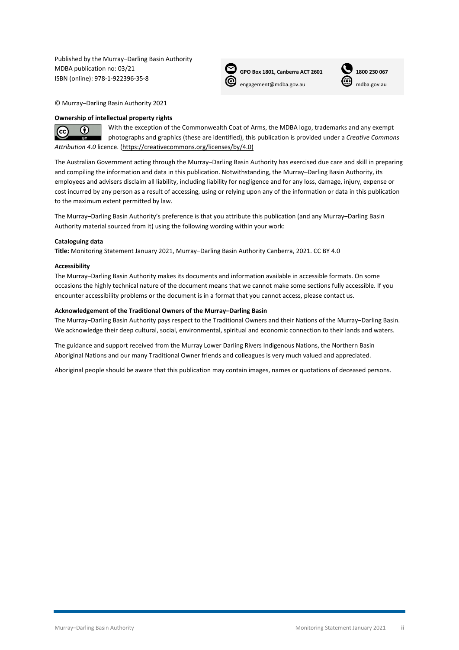Published by the Murray–Darling Basin Authority MDBA publication no: 03/21 ISBN (online): 978-1-922396-35-8



 **GPO Box 1801, Canberra ACT 2601 1800 230 067** [engagement@mdba.gov.au](mailto:engagement@mdba.gov.au) **w** [mdba.gov.au](http://www.mdba.gov.au/)



© Murray–Darling Basin Authority 2021

#### **Ownership of intellectual property rights**

With the exception of the Commonwealth Coat of Arms, the MDBA logo, trademarks and any exempt Œ photographs and graphics (these are identified), this publication is provided under a *Creative Commons Attribution 4.0* licence. [\(https://creativecommons.org/licenses/by/4.0\)](https://creativecommons.org/licenses/by/4.0)

The Australian Government acting through the Murray–Darling Basin Authority has exercised due care and skill in preparing and compiling the information and data in this publication. Notwithstanding, the Murray–Darling Basin Authority, its employees and advisers disclaim all liability, including liability for negligence and for any loss, damage, injury, expense or cost incurred by any person as a result of accessing, using or relying upon any of the information or data in this publication to the maximum extent permitted by law.

The Murray–Darling Basin Authority's preference is that you attribute this publication (and any Murray–Darling Basin Authority material sourced from it) using the following wording within your work:

#### **Cataloguing data**

Title: Monitoring Statement January 2021, Murray-Darling Basin Authority Canberra, 2021. CC BY 4.0

#### **Accessibility**

 $(cc)$ 

The Murray-Darling Basin Authority makes its documents and information available in accessible formats. On some occasions the highly technical nature of the document means that we cannot make some sections fully accessible. If you encounter accessibility problems or the document is in a format that you cannot access, please contact us.

#### **Acknowledgement of the Traditional Owners of the Murray–Darling Basin**

The Murray−Darling Basin Authority pays respect to the Traditional Owners and their Nations of the Murray−Darling Basin. We acknowledge their deep cultural, social, environmental, spiritual and economic connection to their lands and waters.

The guidance and support received from the Murray Lower Darling Rivers Indigenous Nations, the Northern Basin Aboriginal Nations and our many Traditional Owner friends and colleagues is very much valued and appreciated.

Aboriginal people should be aware that this publication may contain images, names or quotations of deceased persons.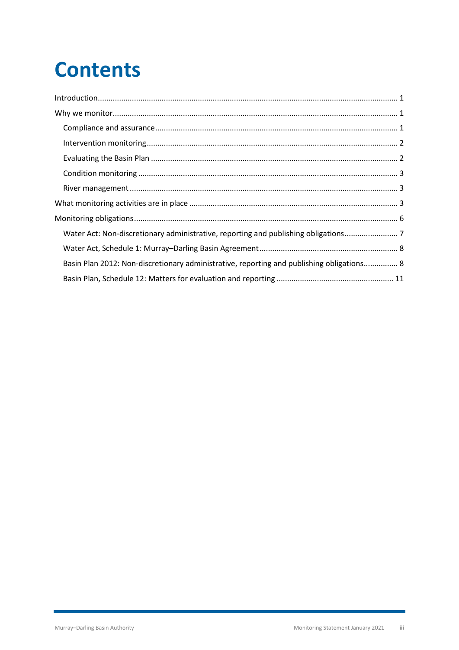## **Contents**

| Water Act: Non-discretionary administrative, reporting and publishing obligations7        |
|-------------------------------------------------------------------------------------------|
|                                                                                           |
| Basin Plan 2012: Non-discretionary administrative, reporting and publishing obligations 8 |
|                                                                                           |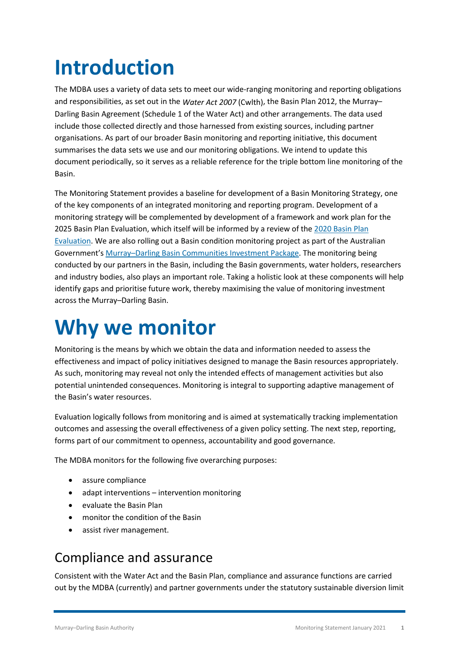## <span id="page-3-0"></span>**Introduction**

The MDBA uses a variety of data sets to meet our wide-ranging monitoring and reporting obligations and responsibilities, as set out in the *Water Act 2007* (Cwlth), the Basin Plan 2012, the Murray– Darling Basin Agreement (Schedule 1 of the Water Act) and other arrangements. The data used include those collected directly and those harnessed from existing sources, including partner organisations. As part of our broader Basin monitoring and reporting initiative, this document summarises the data sets we use and our monitoring obligations. We intend to update this document periodically, so it serves as a reliable reference for the triple bottom line monitoring of the Basin.

The Monitoring Statement provides a baseline for development of a Basin Monitoring Strategy, one of the key components of an integrated monitoring and reporting program. Development of a monitoring strategy will be complemented by development of a framework and work plan for the 2025 Basin Plan Evaluation, which itself will be informed by a review of th[e 2020 Basin Plan](https://www.mdba.gov.au/2020-basin-plan-evaluation)  [Evaluation.](https://www.mdba.gov.au/2020-basin-plan-evaluation) We are also rolling out a Basin condition monitoring project as part of the Australian Government's Murray–Darling [Basin Communities Investment Package.](https://www.agriculture.gov.au/water/mdb/water-investment-package) The monitoring being conducted by our partners in the Basin, including the Basin governments, water holders, researchers and industry bodies, also plays an important role. Taking a holistic look at these components will help identify gaps and prioritise future work, thereby maximising the value of monitoring investment across the Murray–Darling Basin.

## <span id="page-3-1"></span>**Why we monitor**

Monitoring is the means by which we obtain the data and information needed to assess the effectiveness and impact of policy initiatives designed to manage the Basin resources appropriately. As such, monitoring may reveal not only the intended effects of management activities but also potential unintended consequences. Monitoring is integral to supporting adaptive management of the Basin's water resources.

Evaluation logically follows from monitoring and is aimed at systematically tracking implementation outcomes and assessing the overall effectiveness of a given policy setting. The next step, reporting, forms part of our commitment to openness, accountability and good governance.

The MDBA monitors for the following five overarching purposes:

- assure compliance
- adapt interventions intervention monitoring
- evaluate the Basin Plan
- monitor the condition of the Basin
- assist river management.

#### <span id="page-3-2"></span>Compliance and assurance

Consistent with the Water Act and the Basin Plan, compliance and assurance functions are carried out by the MDBA (currently) and partner governments under the statutory sustainable diversion limit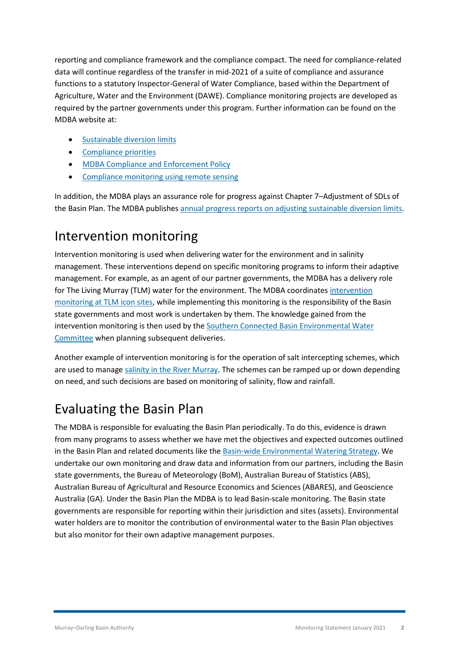reporting and compliance framework and the compliance compact. The need for compliance-related data will continue regardless of the transfer in mid-2021 of a suite of compliance and assurance functions to a statutory Inspector-General of Water Compliance, based within the Department of Agriculture, Water and the Environment (DAWE). Compliance monitoring projects are developed as required by the partner governments under this program. Further information can be found on the MDBA website at:

- [Sustainable diversion limits](https://www.mdba.gov.au/basin-plan-roll-out/sustainable-diversion-limits)
- [Compliance priorities](https://www.mdba.gov.au/basin-plan/compliance-enforcement/compliance-priorities)
- [MDBA Compliance and Enforcement Policy](https://www.mdba.gov.au/sites/default/files/pubs/MDBA%20Compliance%20and%20Enforcement%20Policy%202018-2021_0.pdf)
- [Compliance monitoring using remote sensing](https://www.mdba.gov.au/sites/default/files/pubs/Compliance-monitoring-using-remote-sensing.pdf)

In addition, the MDBA plays an assurance role for progress against Chapter 7–Adjustment of SDLs of the Basin Plan. The MDBA publishes [annual progress reports on adjusting sustainable diversion limits.](https://www.mdba.gov.au/publications/mdba-reports/adjusting-sustainable-diversion-limits-annual-progress-report)

#### <span id="page-4-0"></span>Intervention monitoring

Intervention monitoring is used when delivering water for the environment and in salinity management. These interventions depend on specific monitoring programs to inform their adaptive management. For example, as an agent of our partner governments, the MDBA has a delivery role for The Living Murray (TLM) water for the environment. The MDBA coordinates [intervention](https://www.mdba.gov.au/issues-murray-darling-basin/water-for-environment/delivering-water-environment)  [monitoring at TLM](https://www.mdba.gov.au/issues-murray-darling-basin/water-for-environment/delivering-water-environment) icon sites, while implementing this monitoring is the responsibility of the Basin state governments and most work is undertaken by them. The knowledge gained from the intervention monitoring is then used by the [Southern Connected Basin Environmental Water](https://www.mdba.gov.au/publications/mdba-reports/southern-connected-basin-environmental-watering-committee-annual-reports)  [Committee](https://www.mdba.gov.au/publications/mdba-reports/southern-connected-basin-environmental-watering-committee-annual-reports) when planning subsequent deliveries.

Another example of intervention monitoring is for the operation of salt intercepting schemes, which are used to manage [salinity in the River Murray.](https://www.mdba.gov.au/issues-murray-darling-basin/salinity) The schemes can be ramped up or down depending on need, and such decisions are based on monitoring of salinity, flow and rainfall.

### <span id="page-4-1"></span>Evaluating the Basin Plan

The MDBA is responsible for evaluating the Basin Plan periodically. To do this, evidence is drawn from many programs to assess whether we have met the objectives and expected outcomes outlined in the Basin Plan and related documents like the [Basin-wide Environmental Watering Strategy.](https://www.mdba.gov.au/publications/mdba-reports/basin-wide-environmental-watering-strategy) We undertake our own monitoring and draw data and information from our partners, including the Basin state governments, the Bureau of Meteorology (BoM), Australian Bureau of Statistics (ABS), Australian Bureau of Agricultural and Resource Economics and Sciences (ABARES), and Geoscience Australia (GA). Under the Basin Plan the MDBA is to lead Basin-scale monitoring. The Basin state governments are responsible for reporting within their jurisdiction and sites (assets). Environmental water holders are to monitor the contribution of environmental water to the Basin Plan objectives but also monitor for their own adaptive management purposes.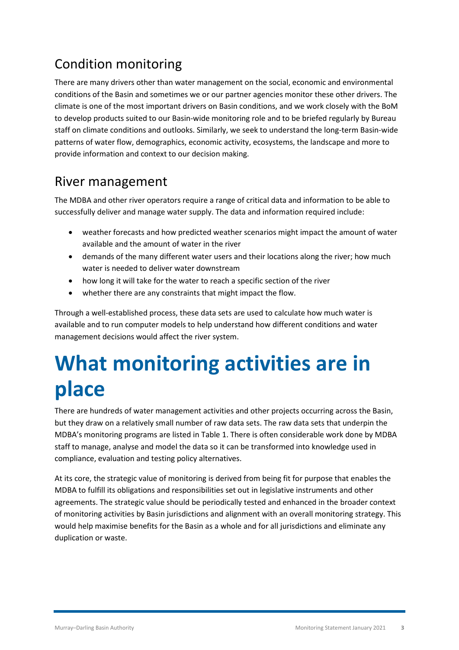### <span id="page-5-0"></span>Condition monitoring

There are many drivers other than water management on the social, economic and environmental conditions of the Basin and sometimes we or our partner agencies monitor these other drivers. The climate is one of the most important drivers on Basin conditions, and we work closely with the BoM to develop products suited to our Basin-wide monitoring role and to be briefed regularly by Bureau staff on climate conditions and outlooks. Similarly, we seek to understand the long-term Basin-wide patterns of water flow, demographics, economic activity, ecosystems, the landscape and more to provide information and context to our decision making.

#### <span id="page-5-1"></span>River management

The MDBA and other river operators require a range of critical data and information to be able to successfully deliver and manage water supply. The data and information required include:

- weather forecasts and how predicted weather scenarios might impact the amount of water available and the amount of water in the river
- demands of the many different water users and their locations along the river; how much water is needed to deliver water downstream
- how long it will take for the water to reach a specific section of the river
- whether there are any constraints that might impact the flow.

Through a well-established process, these data sets are used to calculate how much water is available and to run computer models to help understand how different conditions and water management decisions would affect the river system.

## <span id="page-5-2"></span>**What monitoring activities are in place**

There are hundreds of water management activities and other projects occurring across the Basin, but they draw on a relatively small number of raw data sets. The raw data sets that underpin the MDBA's monitoring programs are listed in [Table 1.](#page-6-0) There is often considerable work done by MDBA staff to manage, analyse and model the data so it can be transformed into knowledge used in compliance, evaluation and testing policy alternatives.

At its core, the strategic value of monitoring is derived from being fit for purpose that enables the MDBA to fulfill its obligations and responsibilities set out in legislative instruments and other agreements. The strategic value should be periodically tested and enhanced in the broader context of monitoring activities by Basin jurisdictions and alignment with an overall monitoring strategy. This would help maximise benefits for the Basin as a whole and for all jurisdictions and eliminate any duplication or waste.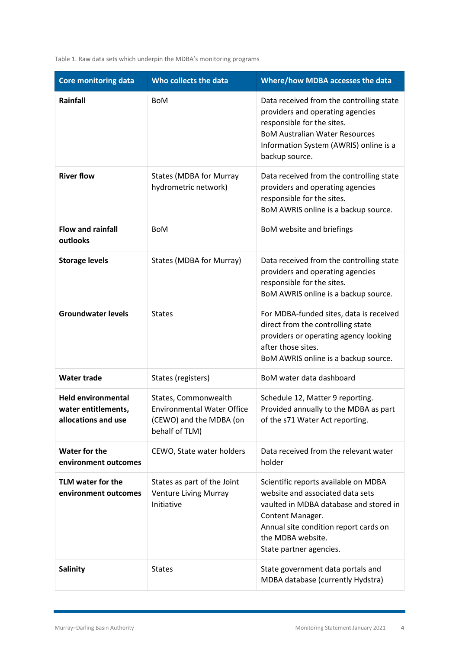<span id="page-6-0"></span>Table 1. Raw data sets which underpin the MDBA's monitoring programs

| <b>Core monitoring data</b>                                             | Who collects the data                                                                                  | <b>Where/how MDBA accesses the data</b>                                                                                                                                                                                         |  |
|-------------------------------------------------------------------------|--------------------------------------------------------------------------------------------------------|---------------------------------------------------------------------------------------------------------------------------------------------------------------------------------------------------------------------------------|--|
| Rainfall                                                                | <b>BoM</b>                                                                                             | Data received from the controlling state<br>providers and operating agencies<br>responsible for the sites.<br><b>BoM Australian Water Resources</b><br>Information System (AWRIS) online is a<br>backup source.                 |  |
| <b>River flow</b>                                                       | <b>States (MDBA for Murray</b><br>hydrometric network)                                                 | Data received from the controlling state<br>providers and operating agencies<br>responsible for the sites.<br>BoM AWRIS online is a backup source.                                                                              |  |
| <b>Flow and rainfall</b><br>outlooks                                    | <b>BoM</b>                                                                                             | BoM website and briefings                                                                                                                                                                                                       |  |
| <b>Storage levels</b>                                                   | <b>States (MDBA for Murray)</b>                                                                        | Data received from the controlling state<br>providers and operating agencies<br>responsible for the sites.<br>BoM AWRIS online is a backup source.                                                                              |  |
| <b>Groundwater levels</b>                                               | <b>States</b>                                                                                          | For MDBA-funded sites, data is received<br>direct from the controlling state<br>providers or operating agency looking<br>after those sites.<br>BoM AWRIS online is a backup source.                                             |  |
| <b>Water trade</b>                                                      | States (registers)                                                                                     | BoM water data dashboard                                                                                                                                                                                                        |  |
| <b>Held environmental</b><br>water entitlements,<br>allocations and use | States, Commonwealth<br><b>Environmental Water Office</b><br>(CEWO) and the MDBA (on<br>behalf of TLM) | Schedule 12, Matter 9 reporting.<br>Provided annually to the MDBA as part<br>of the s71 Water Act reporting.                                                                                                                    |  |
| <b>Water for the</b><br>environment outcomes                            | CEWO, State water holders                                                                              | Data received from the relevant water<br>holder                                                                                                                                                                                 |  |
| TLM water for the<br>environment outcomes                               | States as part of the Joint<br><b>Venture Living Murray</b><br>Initiative                              | Scientific reports available on MDBA<br>website and associated data sets<br>vaulted in MDBA database and stored in<br>Content Manager.<br>Annual site condition report cards on<br>the MDBA website.<br>State partner agencies. |  |
| <b>Salinity</b>                                                         | <b>States</b>                                                                                          | State government data portals and<br>MDBA database (currently Hydstra)                                                                                                                                                          |  |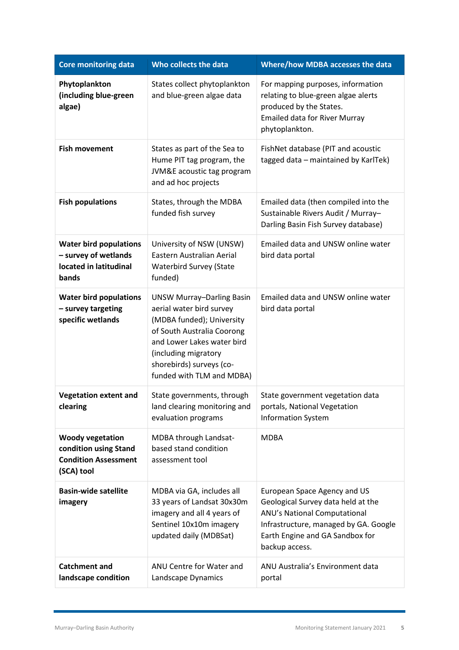| <b>Core monitoring data</b>                                                                   | Who collects the data                                                                                                                                                                                                                  | <b>Where/how MDBA accesses the data</b>                                                                                                                                                          |  |
|-----------------------------------------------------------------------------------------------|----------------------------------------------------------------------------------------------------------------------------------------------------------------------------------------------------------------------------------------|--------------------------------------------------------------------------------------------------------------------------------------------------------------------------------------------------|--|
| Phytoplankton<br>(including blue-green<br>algae)                                              | States collect phytoplankton<br>and blue-green algae data                                                                                                                                                                              | For mapping purposes, information<br>relating to blue-green algae alerts<br>produced by the States.<br><b>Emailed data for River Murray</b><br>phytoplankton.                                    |  |
| <b>Fish movement</b>                                                                          | States as part of the Sea to<br>Hume PIT tag program, the<br>JVM&E acoustic tag program<br>and ad hoc projects                                                                                                                         | FishNet database (PIT and acoustic<br>tagged data - maintained by KarlTek)                                                                                                                       |  |
| <b>Fish populations</b>                                                                       | States, through the MDBA<br>funded fish survey                                                                                                                                                                                         | Emailed data (then compiled into the<br>Sustainable Rivers Audit / Murray-<br>Darling Basin Fish Survey database)                                                                                |  |
| <b>Water bird populations</b><br>- survey of wetlands<br>located in latitudinal<br>bands      | University of NSW (UNSW)<br>Eastern Australian Aerial<br><b>Waterbird Survey (State</b><br>funded)                                                                                                                                     | Emailed data and UNSW online water<br>bird data portal                                                                                                                                           |  |
| <b>Water bird populations</b><br>- survey targeting<br>specific wetlands                      | <b>UNSW Murray-Darling Basin</b><br>aerial water bird survey<br>(MDBA funded); University<br>of South Australia Coorong<br>and Lower Lakes water bird<br>(including migratory<br>shorebirds) surveys (co-<br>funded with TLM and MDBA) | Emailed data and UNSW online water<br>bird data portal                                                                                                                                           |  |
| <b>Vegetation extent and</b><br>clearing                                                      | State governments, through<br>land clearing monitoring and<br>evaluation programs                                                                                                                                                      | State government vegetation data<br>portals, National Vegetation<br><b>Information System</b>                                                                                                    |  |
| <b>Woody vegetation</b><br>condition using Stand<br><b>Condition Assessment</b><br>(SCA) tool | MDBA through Landsat-<br>based stand condition<br>assessment tool                                                                                                                                                                      | <b>MDBA</b>                                                                                                                                                                                      |  |
| <b>Basin-wide satellite</b><br>imagery                                                        | MDBA via GA, includes all<br>33 years of Landsat 30x30m<br>imagery and all 4 years of<br>Sentinel 10x10m imagery<br>updated daily (MDBSat)                                                                                             | European Space Agency and US<br>Geological Survey data held at the<br>ANU's National Computational<br>Infrastructure, managed by GA. Google<br>Earth Engine and GA Sandbox for<br>backup access. |  |
| <b>Catchment and</b><br>landscape condition                                                   | ANU Centre for Water and<br>Landscape Dynamics                                                                                                                                                                                         | ANU Australia's Environment data<br>portal                                                                                                                                                       |  |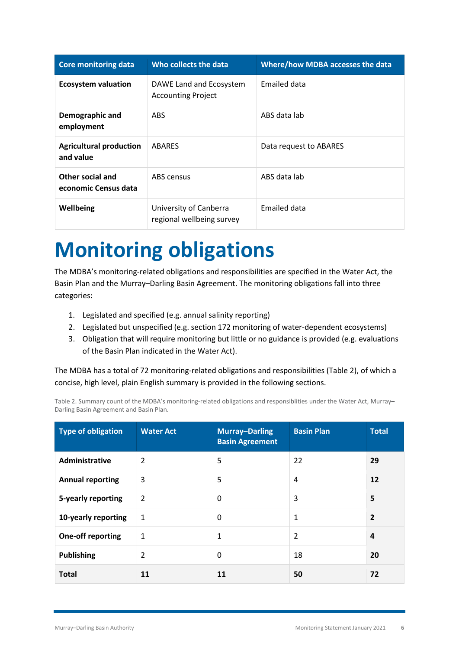| <b>Core monitoring data</b>                 | Who collects the data                                | <b>Where/how MDBA accesses the data</b> |
|---------------------------------------------|------------------------------------------------------|-----------------------------------------|
| <b>Ecosystem valuation</b>                  | DAWE Land and Ecosystem<br><b>Accounting Project</b> | Emailed data                            |
| Demographic and<br>employment               | ABS.                                                 | ABS data lab                            |
| <b>Agricultural production</b><br>and value | <b>ABARES</b>                                        | Data request to ABARES                  |
| Other social and<br>economic Census data    | ABS census                                           | ABS data lab                            |
| Wellbeing                                   | University of Canberra<br>regional wellbeing survey  | Emailed data                            |

## <span id="page-8-0"></span>**Monitoring obligations**

The MDBA's monitoring-related obligations and responsibilities are specified in the Water Act, the Basin Plan and the Murray–Darling Basin Agreement. The monitoring obligations fall into three categories:

- 1. Legislated and specified (e.g. annual salinity reporting)
- 2. Legislated but unspecified (e.g. section 172 monitoring of water-dependent ecosystems)
- 3. Obligation that will require monitoring but little or no guidance is provided (e.g. evaluations of the Basin Plan indicated in the Water Act).

The MDBA has a total of 72 monitoring-related obligations and responsibilities [\(Table 2\)](#page-8-1), of which a concise, high level, plain English summary is provided in the following sections.

<span id="page-8-1"></span>Table 2. Summary count of the MDBA's monitoring-related obligations and responsiblities under the Water Act, Murray– Darling Basin Agreement and Basin Plan.

| <b>Type of obligation</b> | <b>Water Act</b> | <b>Murray-Darling</b><br><b>Basin Agreement</b> | <b>Basin Plan</b> | <b>Total</b>   |
|---------------------------|------------------|-------------------------------------------------|-------------------|----------------|
| <b>Administrative</b>     | $\overline{2}$   | 5                                               | 22                | 29             |
| <b>Annual reporting</b>   | 3                | 5                                               | 4                 | 12             |
| 5-yearly reporting        | $\overline{2}$   | 0                                               | 3                 | 5              |
| 10-yearly reporting       | $\mathbf{1}$     | 0                                               | $\mathbf{1}$      | $\overline{2}$ |
| <b>One-off reporting</b>  | $\mathbf{1}$     | 1                                               | $\overline{2}$    | 4              |
| <b>Publishing</b>         | $\overline{2}$   | 0                                               | 18                | 20             |
| <b>Total</b>              | 11               | 11                                              | 50                | 72             |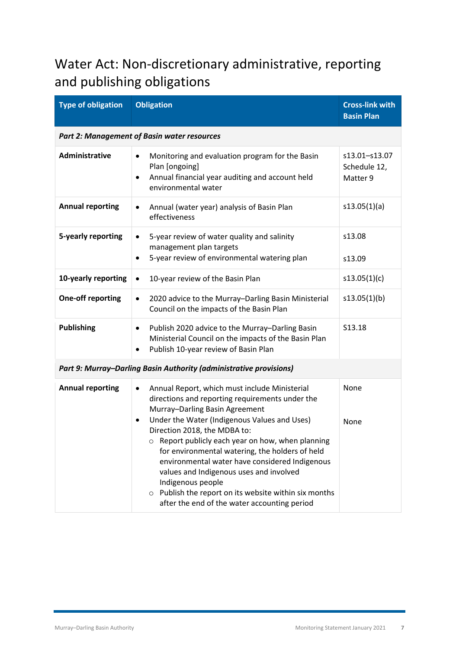### <span id="page-9-0"></span>Water Act: Non-discretionary administrative, reporting and publishing obligations

| <b>Type of obligation</b>                          | <b>Obligation</b>                                                                                                                                                                                                                                                                                                                                                                                                                                                            | <b>Cross-link with</b><br><b>Basin Plan</b> |  |  |  |  |
|----------------------------------------------------|------------------------------------------------------------------------------------------------------------------------------------------------------------------------------------------------------------------------------------------------------------------------------------------------------------------------------------------------------------------------------------------------------------------------------------------------------------------------------|---------------------------------------------|--|--|--|--|
| <b>Part 2: Management of Basin water resources</b> |                                                                                                                                                                                                                                                                                                                                                                                                                                                                              |                                             |  |  |  |  |
| Administrative                                     | Monitoring and evaluation program for the Basin<br>Plan [ongoing]<br>Annual financial year auditing and account held<br>$\bullet$<br>environmental water                                                                                                                                                                                                                                                                                                                     | s13.01-s13.07<br>Schedule 12,<br>Matter 9   |  |  |  |  |
| <b>Annual reporting</b>                            | Annual (water year) analysis of Basin Plan<br>effectiveness                                                                                                                                                                                                                                                                                                                                                                                                                  | s13.05(1)(a)                                |  |  |  |  |
| 5-yearly reporting                                 | 5-year review of water quality and salinity<br>$\bullet$<br>management plan targets<br>5-year review of environmental watering plan                                                                                                                                                                                                                                                                                                                                          | s13.08<br>s13.09                            |  |  |  |  |
| 10-yearly reporting                                | 10-year review of the Basin Plan<br>$\bullet$                                                                                                                                                                                                                                                                                                                                                                                                                                | s13.05(1)(c)                                |  |  |  |  |
| <b>One-off reporting</b>                           | 2020 advice to the Murray-Darling Basin Ministerial<br>$\bullet$<br>Council on the impacts of the Basin Plan                                                                                                                                                                                                                                                                                                                                                                 | s13.05(1)(b)                                |  |  |  |  |
| <b>Publishing</b>                                  | Publish 2020 advice to the Murray-Darling Basin<br>٠<br>Ministerial Council on the impacts of the Basin Plan<br>Publish 10-year review of Basin Plan<br>$\bullet$                                                                                                                                                                                                                                                                                                            | S13.18                                      |  |  |  |  |
|                                                    | Part 9: Murray-Darling Basin Authority (administrative provisions)                                                                                                                                                                                                                                                                                                                                                                                                           |                                             |  |  |  |  |
| <b>Annual reporting</b>                            | Annual Report, which must include Ministerial<br>$\bullet$<br>directions and reporting requirements under the<br>Murray-Darling Basin Agreement<br>Under the Water (Indigenous Values and Uses)<br>$\bullet$<br>Direction 2018, the MDBA to:<br>$\circ$ Report publicly each year on how, when planning<br>for environmental watering, the holders of held<br>environmental water have considered Indigenous<br>values and Indigenous uses and involved<br>Indigenous people |                                             |  |  |  |  |
|                                                    | $\circ$ Publish the report on its website within six months<br>after the end of the water accounting period                                                                                                                                                                                                                                                                                                                                                                  |                                             |  |  |  |  |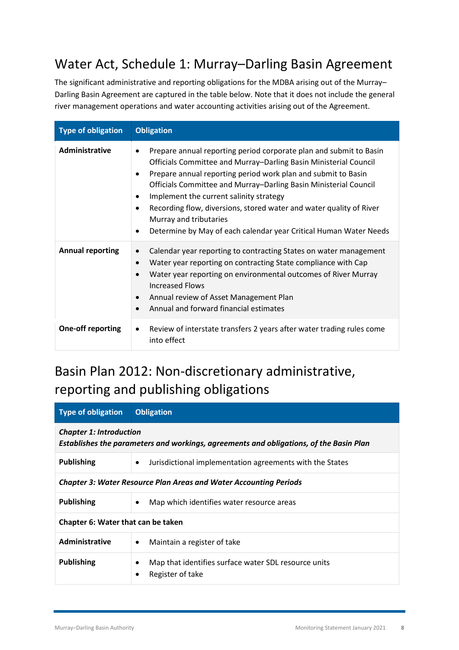#### <span id="page-10-0"></span>Water Act, Schedule 1: Murray–Darling Basin Agreement

The significant administrative and reporting obligations for the MDBA arising out of the Murray– Darling Basin Agreement are captured in the table below. Note that it does not include the general river management operations and water accounting activities arising out of the Agreement.

| <b>Type of obligation</b> | <b>Obligation</b>                                                                                                                                                                                                                                                                                                                                                                                                                                                                                                                             |
|---------------------------|-----------------------------------------------------------------------------------------------------------------------------------------------------------------------------------------------------------------------------------------------------------------------------------------------------------------------------------------------------------------------------------------------------------------------------------------------------------------------------------------------------------------------------------------------|
| Administrative            | Prepare annual reporting period corporate plan and submit to Basin<br>٠<br>Officials Committee and Murray–Darling Basin Ministerial Council<br>Prepare annual reporting period work plan and submit to Basin<br>$\bullet$<br>Officials Committee and Murray–Darling Basin Ministerial Council<br>Implement the current salinity strategy<br>$\bullet$<br>Recording flow, diversions, stored water and water quality of River<br>$\bullet$<br>Murray and tributaries<br>Determine by May of each calendar year Critical Human Water Needs<br>٠ |
| <b>Annual reporting</b>   | Calendar year reporting to contracting States on water management<br>$\bullet$<br>Water year reporting on contracting State compliance with Cap<br>$\bullet$<br>Water year reporting on environmental outcomes of River Murray<br>$\bullet$<br><b>Increased Flows</b><br>Annual review of Asset Management Plan<br>$\bullet$<br>Annual and forward financial estimates<br>$\bullet$                                                                                                                                                           |
| <b>One-off reporting</b>  | Review of interstate transfers 2 years after water trading rules come<br>$\bullet$<br>into effect                                                                                                                                                                                                                                                                                                                                                                                                                                             |

### <span id="page-10-1"></span>Basin Plan 2012: Non-discretionary administrative, reporting and publishing obligations

| Type of obligation                                                                                                       | <b>Obligation</b>                                                                     |  |  |  |
|--------------------------------------------------------------------------------------------------------------------------|---------------------------------------------------------------------------------------|--|--|--|
| <b>Chapter 1: Introduction</b><br>Establishes the parameters and workings, agreements and obligations, of the Basin Plan |                                                                                       |  |  |  |
| <b>Publishing</b>                                                                                                        | Jurisdictional implementation agreements with the States<br>$\bullet$                 |  |  |  |
| <b>Chapter 3: Water Resource Plan Areas and Water Accounting Periods</b>                                                 |                                                                                       |  |  |  |
| <b>Publishing</b>                                                                                                        | Map which identifies water resource areas<br>$\bullet$                                |  |  |  |
| Chapter 6: Water that can be taken                                                                                       |                                                                                       |  |  |  |
| <b>Administrative</b>                                                                                                    | Maintain a register of take<br>$\bullet$                                              |  |  |  |
| <b>Publishing</b>                                                                                                        | Map that identifies surface water SDL resource units<br>$\bullet$<br>Register of take |  |  |  |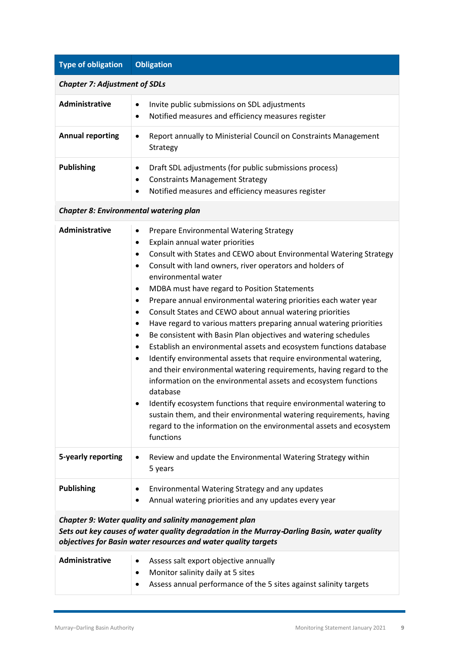| <b>Type of obligation</b>                                                                                                                                                                                              | <b>Obligation</b>                                                                                                                                                                                                                                                                                                                                                                                                                                                                                                                                                                                                                                                                                                                                                                                                                                                                                                                                                                                                                                                                                                                                                                                                        |  |  |
|------------------------------------------------------------------------------------------------------------------------------------------------------------------------------------------------------------------------|--------------------------------------------------------------------------------------------------------------------------------------------------------------------------------------------------------------------------------------------------------------------------------------------------------------------------------------------------------------------------------------------------------------------------------------------------------------------------------------------------------------------------------------------------------------------------------------------------------------------------------------------------------------------------------------------------------------------------------------------------------------------------------------------------------------------------------------------------------------------------------------------------------------------------------------------------------------------------------------------------------------------------------------------------------------------------------------------------------------------------------------------------------------------------------------------------------------------------|--|--|
| <b>Chapter 7: Adjustment of SDLs</b>                                                                                                                                                                                   |                                                                                                                                                                                                                                                                                                                                                                                                                                                                                                                                                                                                                                                                                                                                                                                                                                                                                                                                                                                                                                                                                                                                                                                                                          |  |  |
| Administrative                                                                                                                                                                                                         | Invite public submissions on SDL adjustments<br>٠<br>Notified measures and efficiency measures register<br>$\bullet$                                                                                                                                                                                                                                                                                                                                                                                                                                                                                                                                                                                                                                                                                                                                                                                                                                                                                                                                                                                                                                                                                                     |  |  |
| <b>Annual reporting</b>                                                                                                                                                                                                | Report annually to Ministerial Council on Constraints Management<br>٠<br>Strategy                                                                                                                                                                                                                                                                                                                                                                                                                                                                                                                                                                                                                                                                                                                                                                                                                                                                                                                                                                                                                                                                                                                                        |  |  |
| <b>Publishing</b>                                                                                                                                                                                                      | Draft SDL adjustments (for public submissions process)<br>$\bullet$<br><b>Constraints Management Strategy</b><br>$\bullet$<br>Notified measures and efficiency measures register<br>$\bullet$                                                                                                                                                                                                                                                                                                                                                                                                                                                                                                                                                                                                                                                                                                                                                                                                                                                                                                                                                                                                                            |  |  |
| <b>Chapter 8: Environmental watering plan</b>                                                                                                                                                                          |                                                                                                                                                                                                                                                                                                                                                                                                                                                                                                                                                                                                                                                                                                                                                                                                                                                                                                                                                                                                                                                                                                                                                                                                                          |  |  |
| <b>Administrative</b>                                                                                                                                                                                                  | Prepare Environmental Watering Strategy<br>$\bullet$<br>Explain annual water priorities<br>٠<br>Consult with States and CEWO about Environmental Watering Strategy<br>$\bullet$<br>Consult with land owners, river operators and holders of<br>$\bullet$<br>environmental water<br>MDBA must have regard to Position Statements<br>$\bullet$<br>Prepare annual environmental watering priorities each water year<br>$\bullet$<br>Consult States and CEWO about annual watering priorities<br>$\bullet$<br>Have regard to various matters preparing annual watering priorities<br>٠<br>Be consistent with Basin Plan objectives and watering schedules<br>٠<br>Establish an environmental assets and ecosystem functions database<br>$\bullet$<br>Identify environmental assets that require environmental watering,<br>$\bullet$<br>and their environmental watering requirements, having regard to the<br>information on the environmental assets and ecosystem functions<br>database<br>Identify ecosystem functions that require environmental watering to<br>sustain them, and their environmental watering requirements, having<br>regard to the information on the environmental assets and ecosystem<br>functions |  |  |
| 5-yearly reporting                                                                                                                                                                                                     | Review and update the Environmental Watering Strategy within<br>٠<br>5 years                                                                                                                                                                                                                                                                                                                                                                                                                                                                                                                                                                                                                                                                                                                                                                                                                                                                                                                                                                                                                                                                                                                                             |  |  |
| <b>Publishing</b>                                                                                                                                                                                                      | Environmental Watering Strategy and any updates<br>٠<br>Annual watering priorities and any updates every year<br>٠                                                                                                                                                                                                                                                                                                                                                                                                                                                                                                                                                                                                                                                                                                                                                                                                                                                                                                                                                                                                                                                                                                       |  |  |
| Chapter 9: Water quality and salinity management plan<br>Sets out key causes of water quality degradation in the Murray-Darling Basin, water quality<br>objectives for Basin water resources and water quality targets |                                                                                                                                                                                                                                                                                                                                                                                                                                                                                                                                                                                                                                                                                                                                                                                                                                                                                                                                                                                                                                                                                                                                                                                                                          |  |  |

| <b>Administrative</b>             |  | Assess salt export objective annually                             |
|-----------------------------------|--|-------------------------------------------------------------------|
| Monitor salinity daily at 5 sites |  |                                                                   |
|                                   |  | Assess annual performance of the 5 sites against salinity targets |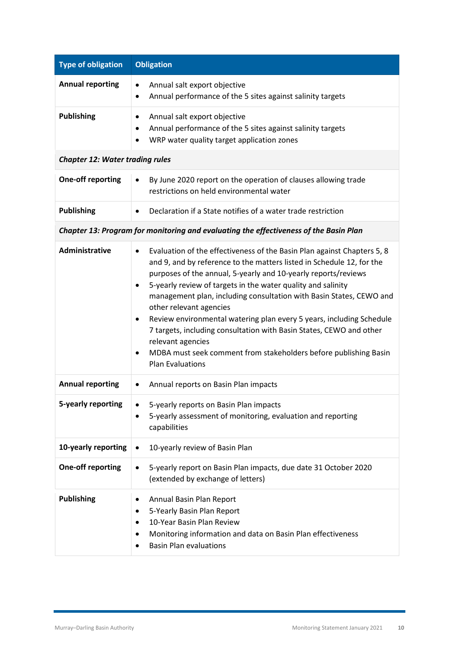| <b>Type of obligation</b>              | <b>Obligation</b>                                                                                                                                                                                                                                                                                                                                                                                                                                                                                                                                                                                                                                                                 |
|----------------------------------------|-----------------------------------------------------------------------------------------------------------------------------------------------------------------------------------------------------------------------------------------------------------------------------------------------------------------------------------------------------------------------------------------------------------------------------------------------------------------------------------------------------------------------------------------------------------------------------------------------------------------------------------------------------------------------------------|
| <b>Annual reporting</b>                | Annual salt export objective<br>$\bullet$<br>Annual performance of the 5 sites against salinity targets<br>$\bullet$                                                                                                                                                                                                                                                                                                                                                                                                                                                                                                                                                              |
| <b>Publishing</b>                      | Annual salt export objective<br>٠<br>Annual performance of the 5 sites against salinity targets<br>٠<br>WRP water quality target application zones                                                                                                                                                                                                                                                                                                                                                                                                                                                                                                                                |
| <b>Chapter 12: Water trading rules</b> |                                                                                                                                                                                                                                                                                                                                                                                                                                                                                                                                                                                                                                                                                   |
| <b>One-off reporting</b>               | By June 2020 report on the operation of clauses allowing trade<br>$\bullet$<br>restrictions on held environmental water                                                                                                                                                                                                                                                                                                                                                                                                                                                                                                                                                           |
| <b>Publishing</b>                      | Declaration if a State notifies of a water trade restriction                                                                                                                                                                                                                                                                                                                                                                                                                                                                                                                                                                                                                      |
|                                        | Chapter 13: Program for monitoring and evaluating the effectiveness of the Basin Plan                                                                                                                                                                                                                                                                                                                                                                                                                                                                                                                                                                                             |
| Administrative                         | Evaluation of the effectiveness of the Basin Plan against Chapters 5, 8<br>and 9, and by reference to the matters listed in Schedule 12, for the<br>purposes of the annual, 5-yearly and 10-yearly reports/reviews<br>5-yearly review of targets in the water quality and salinity<br>$\bullet$<br>management plan, including consultation with Basin States, CEWO and<br>other relevant agencies<br>Review environmental watering plan every 5 years, including Schedule<br>$\bullet$<br>7 targets, including consultation with Basin States, CEWO and other<br>relevant agencies<br>MDBA must seek comment from stakeholders before publishing Basin<br><b>Plan Evaluations</b> |
| <b>Annual reporting</b>                | Annual reports on Basin Plan impacts<br>$\bullet$                                                                                                                                                                                                                                                                                                                                                                                                                                                                                                                                                                                                                                 |
| 5-yearly reporting                     | 5-yearly reports on Basin Plan impacts<br>5-yearly assessment of monitoring, evaluation and reporting<br>capabilities                                                                                                                                                                                                                                                                                                                                                                                                                                                                                                                                                             |
| 10-yearly reporting                    | 10-yearly review of Basin Plan<br>$\bullet$                                                                                                                                                                                                                                                                                                                                                                                                                                                                                                                                                                                                                                       |
| <b>One-off reporting</b>               | 5-yearly report on Basin Plan impacts, due date 31 October 2020<br>$\bullet$<br>(extended by exchange of letters)                                                                                                                                                                                                                                                                                                                                                                                                                                                                                                                                                                 |
| <b>Publishing</b>                      | Annual Basin Plan Report<br>$\bullet$<br>5-Yearly Basin Plan Report<br>10-Year Basin Plan Review<br>$\bullet$<br>Monitoring information and data on Basin Plan effectiveness<br><b>Basin Plan evaluations</b><br>٠                                                                                                                                                                                                                                                                                                                                                                                                                                                                |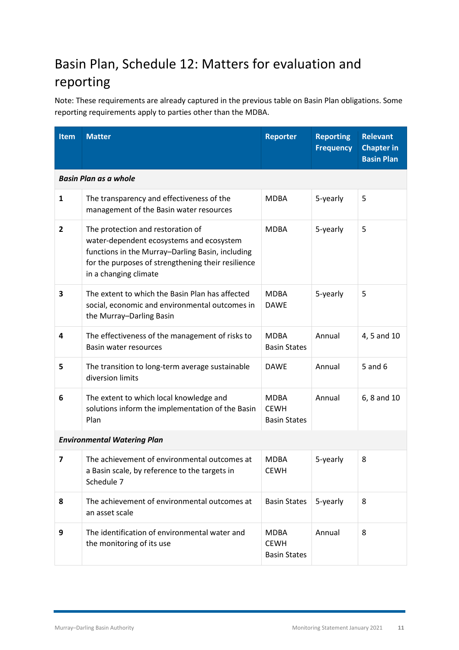### <span id="page-13-0"></span>Basin Plan, Schedule 12: Matters for evaluation and reporting

Note: These requirements are already captured in the previous table on Basin Plan obligations. Some reporting requirements apply to parties other than the MDBA.

| Item                    | <b>Matter</b>                                                                                                                                                                                                    | <b>Reporter</b>                                   | <b>Reporting</b><br><b>Frequency</b> | <b>Relevant</b><br><b>Chapter in</b><br><b>Basin Plan</b> |  |  |  |  |  |
|-------------------------|------------------------------------------------------------------------------------------------------------------------------------------------------------------------------------------------------------------|---------------------------------------------------|--------------------------------------|-----------------------------------------------------------|--|--|--|--|--|
|                         | <b>Basin Plan as a whole</b>                                                                                                                                                                                     |                                                   |                                      |                                                           |  |  |  |  |  |
| 1                       | The transparency and effectiveness of the<br>management of the Basin water resources                                                                                                                             | <b>MDBA</b>                                       | 5-yearly                             | 5                                                         |  |  |  |  |  |
| $\overline{\mathbf{c}}$ | The protection and restoration of<br>water-dependent ecosystems and ecosystem<br>functions in the Murray-Darling Basin, including<br>for the purposes of strengthening their resilience<br>in a changing climate | <b>MDBA</b>                                       | 5-yearly                             | 5                                                         |  |  |  |  |  |
| 3                       | The extent to which the Basin Plan has affected<br>social, economic and environmental outcomes in<br>the Murray-Darling Basin                                                                                    | <b>MDBA</b><br><b>DAWE</b>                        | 5-yearly                             | 5                                                         |  |  |  |  |  |
| 4                       | The effectiveness of the management of risks to<br>Basin water resources                                                                                                                                         | <b>MDBA</b><br><b>Basin States</b>                | Annual                               | 4, 5 and 10                                               |  |  |  |  |  |
| 5                       | The transition to long-term average sustainable<br>diversion limits                                                                                                                                              | <b>DAWE</b>                                       | Annual                               | $5$ and $6$                                               |  |  |  |  |  |
| 6                       | The extent to which local knowledge and<br>solutions inform the implementation of the Basin<br>Plan                                                                                                              | <b>MDBA</b><br><b>CEWH</b><br><b>Basin States</b> | Annual                               | 6, 8 and 10                                               |  |  |  |  |  |
|                         | <b>Environmental Watering Plan</b>                                                                                                                                                                               |                                                   |                                      |                                                           |  |  |  |  |  |
| 7                       | The achievement of environmental outcomes at<br>a Basin scale, by reference to the targets in<br>Schedule 7                                                                                                      | <b>MDBA</b><br><b>CEWH</b>                        | 5-yearly                             | 8                                                         |  |  |  |  |  |
| 8                       | The achievement of environmental outcomes at<br>an asset scale                                                                                                                                                   | <b>Basin States</b>                               | 5-yearly                             | 8                                                         |  |  |  |  |  |
| 9                       | The identification of environmental water and<br>the monitoring of its use                                                                                                                                       | <b>MDBA</b><br><b>CEWH</b><br><b>Basin States</b> | Annual                               | 8                                                         |  |  |  |  |  |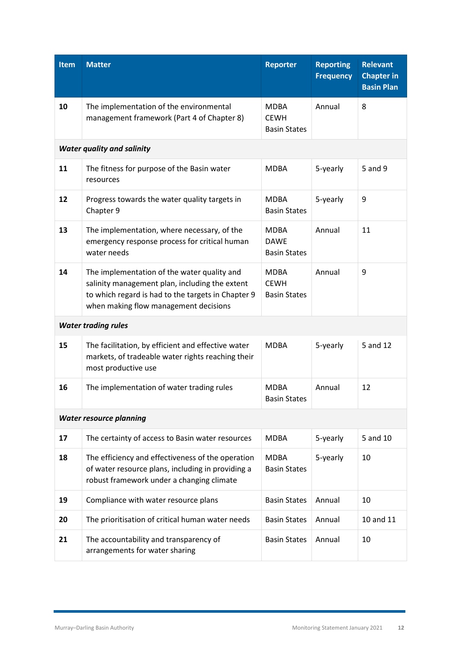| <b>Item</b>                       | <b>Matter</b>                                                                                                                                                                                | <b>Reporter</b>                                   | <b>Reporting</b><br><b>Frequency</b> | <b>Relevant</b><br><b>Chapter in</b><br><b>Basin Plan</b> |
|-----------------------------------|----------------------------------------------------------------------------------------------------------------------------------------------------------------------------------------------|---------------------------------------------------|--------------------------------------|-----------------------------------------------------------|
| 10                                | The implementation of the environmental<br>management framework (Part 4 of Chapter 8)                                                                                                        | <b>MDBA</b><br><b>CEWH</b><br><b>Basin States</b> | Annual                               | 8                                                         |
| <b>Water quality and salinity</b> |                                                                                                                                                                                              |                                                   |                                      |                                                           |
| 11                                | The fitness for purpose of the Basin water<br>resources                                                                                                                                      | <b>MDBA</b>                                       | 5-yearly                             | 5 and 9                                                   |
| 12                                | Progress towards the water quality targets in<br>Chapter 9                                                                                                                                   | <b>MDBA</b><br><b>Basin States</b>                | 5-yearly                             | 9                                                         |
| 13                                | The implementation, where necessary, of the<br>emergency response process for critical human<br>water needs                                                                                  | <b>MDBA</b><br><b>DAWE</b><br><b>Basin States</b> | Annual                               | 11                                                        |
| 14                                | The implementation of the water quality and<br>salinity management plan, including the extent<br>to which regard is had to the targets in Chapter 9<br>when making flow management decisions | <b>MDBA</b><br><b>CEWH</b><br><b>Basin States</b> | Annual                               | 9                                                         |
| <b>Water trading rules</b>        |                                                                                                                                                                                              |                                                   |                                      |                                                           |
| 15                                | The facilitation, by efficient and effective water<br>markets, of tradeable water rights reaching their<br>most productive use                                                               | <b>MDBA</b>                                       | 5-yearly                             | 5 and 12                                                  |
| 16                                | The implementation of water trading rules                                                                                                                                                    | <b>MDBA</b><br><b>Basin States</b>                | Annual                               | 12                                                        |
| <b>Water resource planning</b>    |                                                                                                                                                                                              |                                                   |                                      |                                                           |
| 17                                | The certainty of access to Basin water resources                                                                                                                                             | <b>MDBA</b>                                       | 5-yearly                             | 5 and 10                                                  |
| 18                                | The efficiency and effectiveness of the operation<br>of water resource plans, including in providing a<br>robust framework under a changing climate                                          | <b>MDBA</b><br><b>Basin States</b>                | 5-yearly                             | 10                                                        |
| 19                                | Compliance with water resource plans                                                                                                                                                         | <b>Basin States</b>                               | Annual                               | 10                                                        |
| 20                                | The prioritisation of critical human water needs                                                                                                                                             | <b>Basin States</b>                               | Annual                               | 10 and 11                                                 |
| 21                                | The accountability and transparency of<br>arrangements for water sharing                                                                                                                     | <b>Basin States</b>                               | Annual                               | 10                                                        |